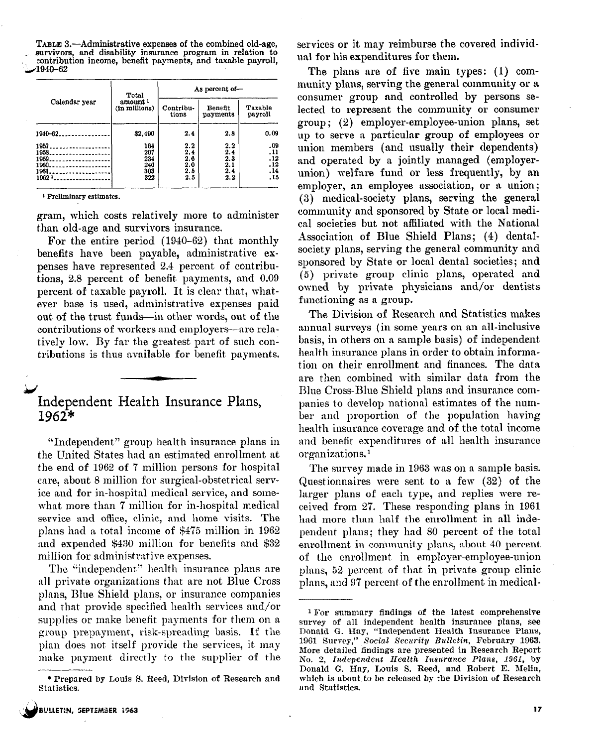TABLE 3.—Administrative expenses of the combined old-age, survivors, and disability insurance program in relation to  $\sim$  contribution income, benefit payments, and taxable payroll ,.,4940-62 istrative examplify in the set of the set of the set of the set of the set of the set of the set of the set of the set of the set of the set of the set of the set of the set of the set of the set of the set of the set of t

|                               | Total                                | As percent of-     |                     |                    |  |  |  |
|-------------------------------|--------------------------------------|--------------------|---------------------|--------------------|--|--|--|
| Calendar year                 | amount <sup>1</sup><br>(in millions) | Contribu-<br>tions | Benefit<br>payments | Taxable<br>payroll |  |  |  |
| 1940-62.                      | \$2,490                              | 2.4                | 2.8                 | 0.09               |  |  |  |
| 1957.<br>. . <i>.</i><br>1958 | 164<br>207                           | 2.2<br>2,4         | 2.2<br>2.4          | .09<br>. 11        |  |  |  |
| 1959.                         | 234                                  | 2,6                | 2.3                 | .12                |  |  |  |
| 1960.                         | 240                                  | 2.0                | 2.1                 | , 12               |  |  |  |
| 1961                          | 303                                  | 2.5                | 2.4                 | , 14               |  |  |  |
| $1962$ $1$                    | 322                                  | 2.5                | 2.2                 | .15                |  |  |  |

gram, which costs relatively more to administer than old-age and survivors insurance.

For the entire period (1940-62) that monthly benefits have been payable, administrative expenses have represented 2.4 percent of contributions, 2.8 percent of benefit payments, and 0.09 percent of taxable payroll. It is clear that, whatever base is used, administrative expenses paid out of the trust funds-in other words, out of the contributions of workers and employers-are relatively low. By far the greatest part of such contributions is thus available for benefit payments.

## $\blacktriangleright$ Independent Health Insurance Plans, 1962\*

"Independent" group health insurance plans in the United States had an estimated enrollment at the end of 1962 of '7 million persons for hospital care, about 8 million for surgical-obstetrical service and for in-hospital medical service, and somewhat more than 7 million for in-hospital medical service and office, clinic, and home visits. The plans had a total income of \$475 million in 1962 and espended \$430 million for benefits and \$32 million for administrative expenses.

The "independent" health insurance plans are all private organizations that are not Blue Cross plans, Blue Shield plans, or insurance companies and that provide specified health services and/or supplies or make benefit payments for them on a group prepayment, risk-spreading basis. If the plan does not, itself provide the services, it may make payment, directly to the supplier of the services or it may reimburse the covered individual for his expenditures for them.

The plans are of five main types:  $(1)$  community plans, serving the general community or a consumer group and controlled by persons selected to represent the community or consumer group ; (2) employer-employee-union plans, set up to serve a particular group of employees or union members (and usually their dependents) and operated by a jointly managed (employerunion) welfare fund or less frequently, by an employer, an employee association, or a union; (3) medical-society plans, serving the general community and sponsored by State or local medical societies but not affiliated with the National Association of Blue Shield Plans; (4) dentalsociety plans, serving the general community and sponsored by State or local dental societies; and (5) private group clinic plans, operated and owned by private physicians and/or dentists functioning as a group.

The Division of Research and Statistics makes annual surveys (in some years on an all-inclusive basis, in others on a sample basis) of independent health insurance plans in order to obtain information on their enrollment and finances. The data are then combined with similar data from the Blue Cross-Blue Shield plans and insurance companies to develop national estimates of the number and proportion of the population having health insurance coverage and of the total income and benefit expenditures of all health insurance organizations.<sup>1</sup>

The survey made in 1963 was on a sample basis. Questionnaires were sent to a few (32) of the larger plans of each type, and replies mere received from 27. These responding plans in 1961 had more than half the enrollment in all independent plans; they had 80 percent. of the total enrollment in community plans, about 40 percent of the enrollment in employer-employee-union plans, 52 percent. of that in private group clinic plans, and 97 percent of the enrollment in medical-

<sup>\*</sup> Prepared by Louis 5. Reed, Division of Research and Statistics.

<sup>1</sup> For summary findings of the latest comprehensive survey of all independent health insurance plans, see Donald G. Hay, "Independent Kealth Insurance Plans, 1961 Survey," Social Security Bulletin, February 1963. More detailed findings are presented in Research Report No. 2, Independent Health Insurance Plans, 1961, by Donald G. Hay, Louis S. Reed, and Robert E. Melia, which is about to be released by the Division of Research and Statistics.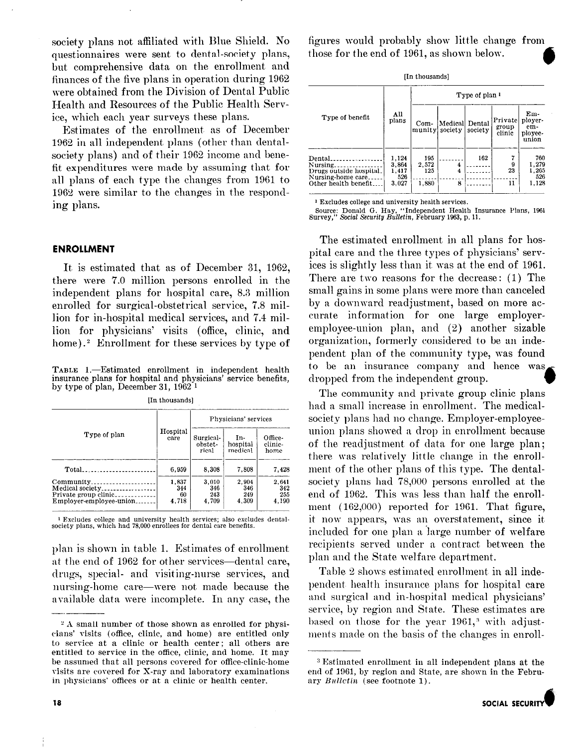society plans not affiliated with Blue Shield. No questionnaires were sent to dental-society plans, but comprehensive data on the enrollment and finances of the five plans in operation during 1962 were obtained from the Division of Dental Public Health and Resources of the Public Health Service, which each year surveys these plans.

Estimates of the enrollment as of December 1962 in all independent plans (other than dentalsociety plans) and of their 1962 income and benefit expenditures were made by assuming that for all plans of each type the changes from 1961 to 19BJ were similar to the changes in the responding plans.

#### ENROLLMENT

It is estimated that as of December 31, 1962, there were 7.0 million persons enrolled in the independent plans for hospital care, 8.3 million enrolled for surgical-obstetrical service, 7.8 million for in-hospital medical services, and 7.4 million for physicians' visits (office, clinic, and home).? Enrollment for these services by type of

TABLE 1.-Estimated enrollment in independent health insurance plans for hospital and physicians' service benefits, by type of plan, December 31, 1962 1

|                                                                                  |                             | Physicians' services         |                              |                              |  |  |
|----------------------------------------------------------------------------------|-----------------------------|------------------------------|------------------------------|------------------------------|--|--|
| Type of plan                                                                     | Hospital<br>care            | Surgical<br>obstet-<br>rical | In-<br>hospital<br>medical   | Office-<br>elinie-<br>home   |  |  |
| Total.                                                                           | 6.959                       | 8.308                        | 7.808                        | 7.428                        |  |  |
| Community<br>Medical society<br>Private group clinic.<br>Employer-employee-union | 1.837<br>344<br>60<br>4.718 | 3,010<br>346<br>243<br>4.709 | 2,904<br>346<br>249<br>4,309 | 2.641<br>342<br>255<br>4.190 |  |  |

[In thousands]

1 Excludes college and university health services; also excludes dental-society plans, which had 78,000 enrollees for dental care benefits.

plan is shown in table 1. Estimates of enrollment at the end of 1962 for other services—dental care, drugs, special- and visiting-nurse services, and nursing-home care-were not made because the available data were incomplete. In any case, the figures would probably show little change from those for the end of 1961, as shown below. a

|  | [In thousands] |
|--|----------------|
|--|----------------|

|                                                                                             | Type of plan 1                          |                              |                |         |                             |                                           |  |
|---------------------------------------------------------------------------------------------|-----------------------------------------|------------------------------|----------------|---------|-----------------------------|-------------------------------------------|--|
| Type of benefit                                                                             | All<br>plans                            | Com-<br>munity society       | Medical Dental | society | Privatel<br>group<br>clinic | Em-<br>ployer-<br>em-<br>ployee-<br>union |  |
| Dental<br>Nursing.<br>Drugs outside hospital.<br>Nursing-home care<br>Other health benefit. | 1.124<br>3.864<br>1,417<br>526<br>3.027 | 195<br>2,572<br>125<br>1,880 | 4<br>4<br>8    | 162     | 9<br>23<br>11               | 760<br>1,279<br>1.265<br>526<br>1,128     |  |

1 Excludes college and university health services.

Source: Donald G. Hay, "Independent Health Insurance Plans, 1961<br>Survey," *Social Security Bulletin*, February 1963, p. 11.

The estimated enrollment in all plans for hospital care and the three types of physicians' services is slightly less than it, was at the end of 1961. There are two reasons for the decrease: (1) The small gains in some plans were more than canceled by a downward readjustment, based on more accurate information for one large employeremployee-union plan, and (2) another sizable organization, formerly considered to be an independent plan of the community type, was found to be an insurance company and hence was dropped from the independent group.

The community and private group clinic plans had a small increase in enrollment. The medicalsociety plans had no change. Employer-employeeunion plans showed a drop in enrollment because of the readjustment of data for one large plan; there was relatively little change in the enrollment of the other plans of this type. The dentalsociety plans had 78,000 persons enrolled at the end of 1962. This was less than half the enrollment (162,000) reported for 1961. That figure, it now appears, was an overstatement, since it included for one plan a large number of welfare recipients served mider a contract between the plan and the State welfare department.

Table 2 shows estimated enrollment in all independent health insurance plans for hospital care and surgical and in-hospital medical physicians service, by region and State. These estimates are based on those for the year 1961,<sup>3</sup> with adjustments made on the basis of the changes in enroll-

<sup>&</sup>lt;sup>2</sup> A small number of those shown as enrolled for physicians' visits (office, clinic, and home) are entitled only to service at a clinic or health center; all others are entitled to service in the office, clinic, and home. It may be assumed that all persons covered for office-clinic-home visits are corered for X-ray and laboratory examinations in physicians' offices or at a clinic or health center.

<sup>&</sup>lt;sup>3</sup> Estimated enrollment in all independent plans at the end of 1961, by region and State, are shown in the February  $Bulletin$  (see footnote 1).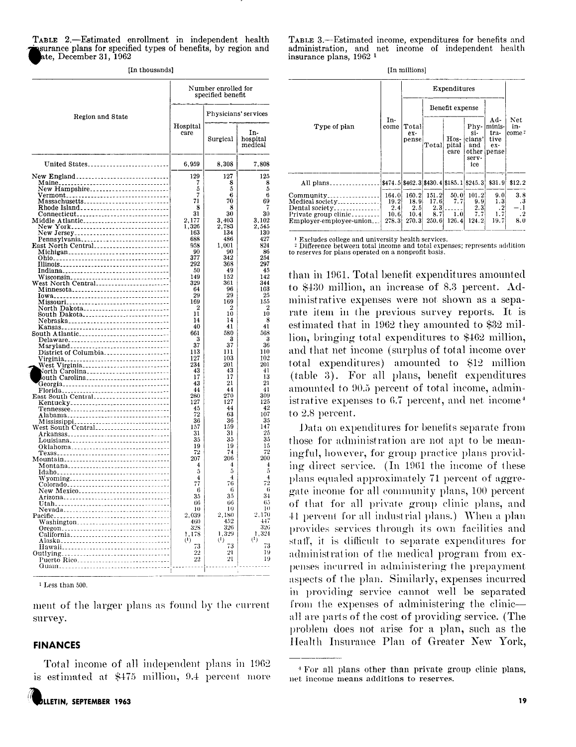| TABLE 2.—Estimated enrollment in independent health            |  |  |
|----------------------------------------------------------------|--|--|
| insurance plans for specified types of benefits, by region and |  |  |
| ate. December 31. 1962                                         |  |  |

|  | [In thousands] |  |  |
|--|----------------|--|--|
|--|----------------|--|--|

|                                                                                      |                       | Number enrolled for<br>specified benefit |                            |
|--------------------------------------------------------------------------------------|-----------------------|------------------------------------------|----------------------------|
| Region and State                                                                     |                       |                                          | Physicians' services       |
|                                                                                      | Hospital<br>саге      | Surgical                                 | In-<br>hospital<br>medical |
| United States                                                                        | 6,959                 | 8.308                                    | 7.808                      |
| New England                                                                          | 129                   | 127                                      | 125                        |
| New Hampshire                                                                        | 7<br>5                | 8<br>5                                   | 8<br>5                     |
|                                                                                      | 7                     | 6                                        | 6                          |
| Massachusetts_____________________________                                           | 71<br>8               | 70<br>8                                  | 69<br>7                    |
| Connecticut                                                                          | 31                    | 30                                       | 30                         |
|                                                                                      | 2,177<br>1,326        | 3,403<br>2,783                           | 3.102<br>2,545             |
|                                                                                      | 163                   | 134                                      | 130                        |
| Pennsylvania<br>East North Central                                                   | 688<br>958            | 486<br>1,001                             | 427<br>824                 |
| Michigan                                                                             | 90                    | 90                                       | 86                         |
|                                                                                      | 377                   | 342                                      | 254                        |
|                                                                                      | 292<br>50             | 368<br>49                                | 297<br>45                  |
|                                                                                      | 149                   | 152                                      | 142                        |
| Minnesota <sub>-----------------------------</sub> ----                              | 329<br>64             | 361<br>96                                | 344<br>103                 |
|                                                                                      | 29                    | 29                                       | 25                         |
| Missouri__________________________________                                           | 169<br>$\overline{2}$ | 169<br>$\overline{2}$                    | 155<br>$\overline{2}$      |
|                                                                                      | 11                    | 10                                       | 10                         |
| Nebraska________________________________                                             | 14                    | 14                                       | 8                          |
| South Atlantic                                                                       | 40<br>661             | 41<br>580                                | 41<br>568                  |
| Delaware <sub>--------------------------------</sub> -                               | 3                     | з                                        | 3                          |
| Maryland <sub>------------------------------</sub> --<br>District of Columbia        | 37<br>113             | 37<br>111                                | 36<br>110                  |
|                                                                                      | 127                   | 103                                      | 102                        |
| West Virginia____________________________                                            | 234<br>43             | 201<br>43                                | 201<br>41                  |
| North Carolina__________________________<br>outh Carolina__________________________  | 17                    | 17                                       | 13                         |
| Georgia__________________________________                                            | 43                    | 21                                       | 21                         |
| -------------------------------<br>Florida.<br>East South Central                    | 44<br>280             | 44<br>270                                | 41<br>309                  |
| Kentucky________________________________                                             | 127                   | 127                                      | 125                        |
|                                                                                      | 45<br>72              | 44<br>63                                 | 42<br>107                  |
| Alabama <sub>---------------------------------</sub> --                              | 36                    | 36                                       | 35                         |
|                                                                                      | 157                   | 159                                      | 147                        |
| Louisiana                                                                            | 31<br>35              | 31<br>35                                 | 25<br>35                   |
| Oklahoma                                                                             | 19                    | 19                                       | 15                         |
| Texas                                                                                | 72<br>207             | 74<br>206                                | 72<br>200                  |
| Mountain__________________________________<br>Montana_______________________________ | 4                     | 4                                        | 4                          |
|                                                                                      | 5                     | 5                                        | 5<br>4                     |
| Wyoming________________________________<br>Colorado                                  | 4<br>77               | 4<br>76                                  | 72                         |
| New Mexico____________________________                                               | 6                     | 6                                        | 6                          |
| Arizona                                                                              | 35<br>66              | 35<br>66                                 | 34<br>65                   |
| Nevada                                                                               | 10                    | 10                                       | 10                         |
|                                                                                      | 2,039<br>460          | 2,180<br>452                             | 2,170<br>447               |
| Washington______________________________<br>Oregon                                   | 328                   | 326                                      | 326                        |
| California__________________________________                                         | 1,178<br>$\mathbf{u}$ | 1,329<br>$^{(1)}$                        | 1,324<br>$^{(1)}$          |
|                                                                                      | 73                    | 73                                       | 73                         |
| Outlying                                                                             | 22                    | 21                                       | 19                         |
| Puerto Rico<br>Guam                                                                  | 22                    | 21                                       | 19                         |
|                                                                                      |                       |                                          |                            |

 $1$  Less than 500.

ment of the larger plans as found by the current survey.

### **FINANCES**

Total income of all independent plans in 1962 is estimated at \$475 million, 9.4 percent more

TABLE 3.—Estimated income, expenditures for benefits and administration, and net income of independent health insurance plans, 1962<sup>1</sup>

[In millions]

|                                                                                                                   |                                         |                                         |                                      | Expenditures                |                                                       |                                                    |                               |
|-------------------------------------------------------------------------------------------------------------------|-----------------------------------------|-----------------------------------------|--------------------------------------|-----------------------------|-------------------------------------------------------|----------------------------------------------------|-------------------------------|
|                                                                                                                   |                                         |                                         |                                      | Benefit expense             |                                                       |                                                    |                               |
| Type of plan                                                                                                      | In-<br>come                             | Total<br>ex-<br>pense                   | Total                                | Hos-<br>pital<br>care       | Phy-<br>si-<br>cians'<br>and<br>other<br>serv-<br>ice | Ad-<br>lminis-l<br>$tra-$<br>tive<br>ex-<br>ipense | Net<br>in-<br>come?           |
| All plans.                                                                                                        |                                         | \$474.5 \$462.3 \$430.4 \$185.1 \$245.3 |                                      |                             |                                                       | \$31.9                                             | \$12.2\$                      |
| Community.<br>Medical society<br>Dental society______________<br>Private group clinic.<br>Employer-employee-union | 164.0<br>19.2<br>2.41<br>10.6<br>278.31 | 160.2<br>18.9<br>2.5<br>10.4<br>270.31  | 151.2<br>17.6<br>2.3<br>8.7<br>250.6 | 50.0<br>7.7<br>1.0<br>126.4 | 101.2<br>9.9<br>2.3<br>7.7<br>124.2                   | 9.0<br>1.3<br>$\cdot$<br>1.7<br>19.7               | 3.8<br>.3<br>$\cdot$ 2<br>8.0 |

Excludes college and university health services.

<sup>2</sup> Difference between total income and total expenses; represents addition to reserves for plans operated on a nonprofit basis.

than in 1961. Total benefit expenditures amounted to \$430 million, an increase of 8.3 percent. Administrative expenses were not shown as a separate item in the previous survey reports. It is estimated that in 1962 they amounted to \$32 million, bringing total expenditures to \$462 million, and that net income (surplus of total income over total expenditures) amounted to \$12 million (table 3). For all plans, benefit expenditures amounted to 90.5 percent of total income, administrative expenses to 6.7 percent, and net income<sup>4</sup> to 2.8 percent.

Data on expenditures for benefits separate from those for administration are not apt to be meaningful, however, for group practice plans providing direct service. (In 1961 the income of these plans equaled approximately 71 percent of aggregate income for all community plans, 100 percent of that for all private group clinic plans, and 41 percent for all industrial plans.) When a plan provides services through its own facilities and staff, it is difficult to separate expenditures for administration of the medical program from expenses incurred in administering the prepayment aspects of the plan. Similarly, expenses incurred in providing service cannot well be separated from the expenses of administering the clinic all are parts of the cost of providing service. (The problem does not arise for a plan, such as the Health Insurance Plan of Greater New York,

<sup>&</sup>lt;sup>4</sup> For all plans other than private group clinic plans, net income means additions to reserves.